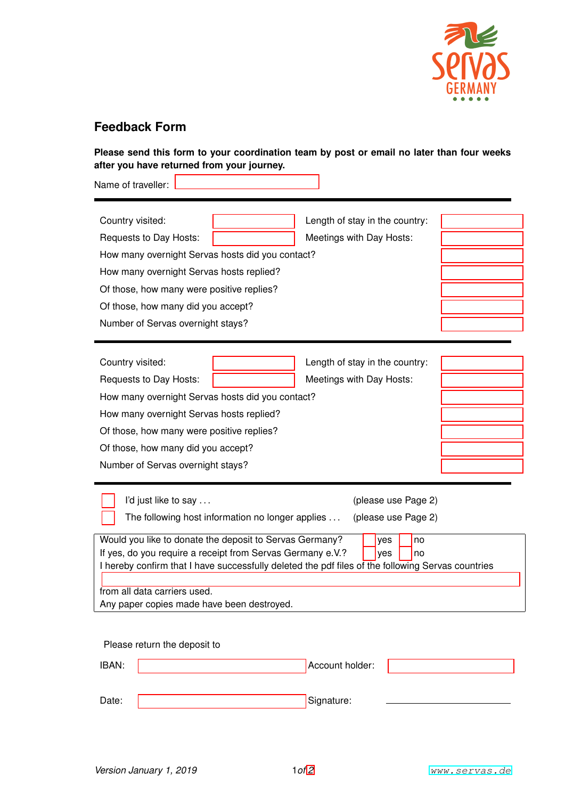

## **Feedback Form**

**Please send this form to your coordination team by post or email no later than four weeks after you have returned from your journey.**

| Name of traveller:                                                                                                                                                                                                                                                                             |                                            |
|------------------------------------------------------------------------------------------------------------------------------------------------------------------------------------------------------------------------------------------------------------------------------------------------|--------------------------------------------|
| Country visited:<br>Meetings with Day Hosts:<br>Requests to Day Hosts:<br>How many overnight Servas hosts did you contact?<br>How many overnight Servas hosts replied?<br>Of those, how many were positive replies?<br>Of those, how many did you accept?                                      | Length of stay in the country:             |
| Number of Servas overnight stays?                                                                                                                                                                                                                                                              |                                            |
| Country visited:<br>Requests to Day Hosts:<br>Meetings with Day Hosts:<br>How many overnight Servas hosts did you contact?<br>How many overnight Servas hosts replied?<br>Of those, how many were positive replies?<br>Of those, how many did you accept?<br>Number of Servas overnight stays? | Length of stay in the country:             |
| I'd just like to say<br>The following host information no longer applies                                                                                                                                                                                                                       | (please use Page 2)<br>(please use Page 2) |
| Would you like to donate the deposit to Servas Germany?<br>If yes do you require a receipt from Servas Germany e $V$ ?                                                                                                                                                                         | yes<br>no<br>C TYPS<br>$\sqrt{2}$          |

If yes, do you require a receipt from Servas Germany e.V.?  $\bigcirc$  yes  $\bigcirc$  no I hereby confirm that I have successfully deleted the pdf files of the following Servas countries from all data carriers used.

Any paper copies made have been destroyed.

Please return the deposit to IBAN:

| IBAN: | Account holder: |  |
|-------|-----------------|--|
|       |                 |  |
|       |                 |  |
| Date: | Signature:      |  |